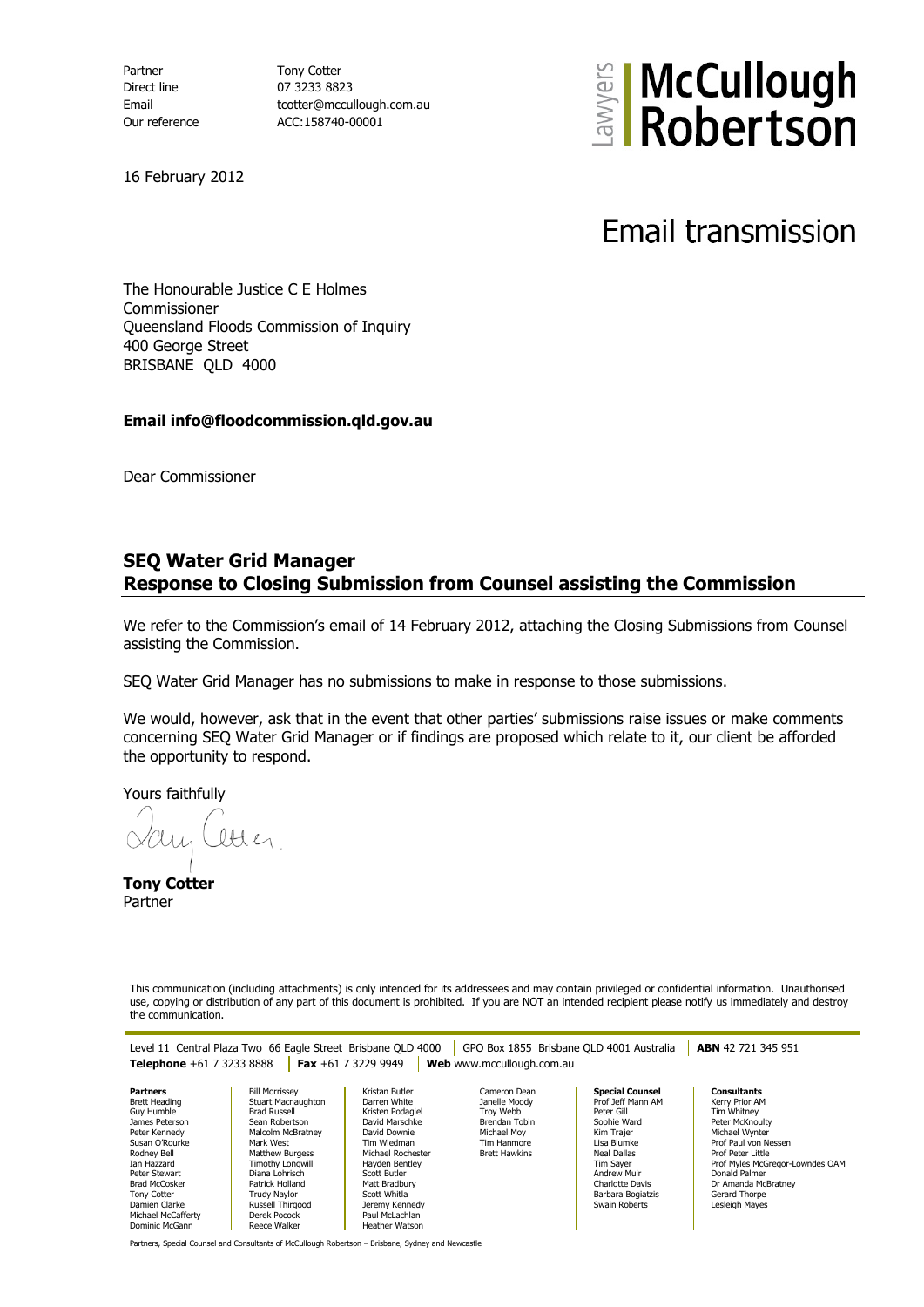Partner Tony Cotter Direct line 07 3233 8823

Email tcotter@mccullough.com.au Our reference ACC:158740-00001



16 February 2012

Email transmission

The Honourable Justice C E Holmes Commissioner Queensland Floods Commission of Inquiry 400 George Street BRISBANE QLD 4000

## **Email info@floodcommission.qld.gov.au**

Dear Commissioner

## **SEQ Water Grid Manager Response to Closing Submission from Counsel assisting the Commission**

We refer to the Commission's email of 14 February 2012, attaching the Closing Submissions from Counsel assisting the Commission.

SEQ Water Grid Manager has no submissions to make in response to those submissions.

We would, however, ask that in the event that other parties' submissions raise issues or make comments concerning SEQ Water Grid Manager or if findings are proposed which relate to it, our client be afforded the opportunity to respond.

Yours faithfully

ltter

**Tony Cotter** Partner

This communication (including attachments) is only intended for its addressees and may contain privileged or confidential information. Unauthorised use, copying or distribution of any part of this document is prohibited. If you are NOT an intended recipient please notify us immediately and destroy the communication.

Level 11 Central Plaza Two 66 Eagle Street Brisbane QLD 4000 GPO Box 1855 Brisbane QLD 4001 Australia **ABN** 42 721 345 951 **Telephone** +61 7 3233 8888 **Fax** +61 7 3229 9949 **Web** www.mccullough.com.au

**Partners** Brett Heading Guy Humble James Peterson Peter Kennedy Susan O'Rourke Rodney Bell Ian Hazzard Peter Stewart Brad McCosker Tony Cotter Damien Clarke Michael McCafferty Dominic McGann

Bill Morrissey Stuart Macnaughton Brad Russell Sean Robertson Malcolm McBratney Mark West Matthew Burgess Timothy Longwill Diana Lohrisch Patrick Holland Trudy Naylor Russell Thirgood Derek Pocock Reece Walker

Kristan Butler Darren White Kristen Podagiel David Marschke David Downie Tim Wiedman Michael Rochester Hayden Bentley Scott Butler Matt Bradbury Scott Whitla Jeremy Kennedy Paul McLachlan Heather Watson

Cameron Dean Janelle Moody Troy Webb Brendan Tobin Michael Moy Tim Hanmore Brett Hawkins

**Special Counsel** Prof Jeff Mann AM Peter Gill Sophie Ward Kim Trajer Lisa Blumke Neal Dallas Tim Sayer Andrew Muir Charlotte Davis Barbara Bogiatzis Swain Roberts

**Consultants** Kerry Prior AM Tim Whitney Peter McKnoulty Michael Wynter Prof Paul von Nessen Prof Peter Little Prof Myles McGregor-Lowndes OAM Donald Palmer Dr Amanda McBratney Gerard Thorpe Lesleigh Mayes

Partners, Special Counsel and Consultants of McCullough Robertson – Brisbane, Sydney and Newcastle